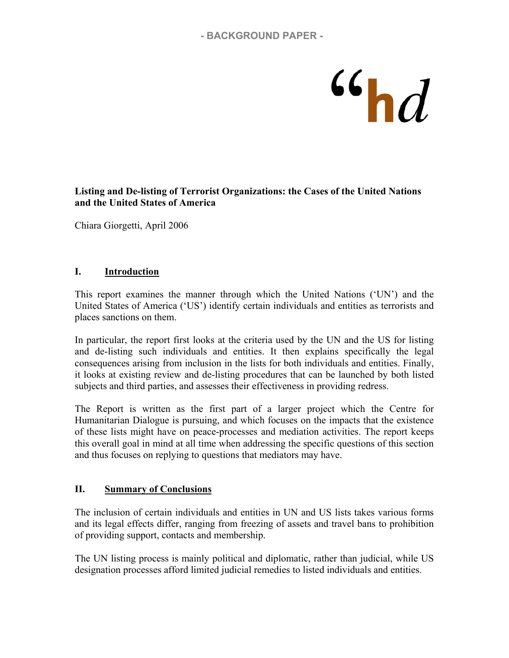# @

#### **Listing and De-listing of Terrorist Organizations: the Cases of the United Nations and the United States of America**

Chiara Giorgetti, April 2006

#### **I. Introduction**

This report examines the manner through which the United Nations ('UN') and the United States of America ('US') identify certain individuals and entities as terrorists and places sanctions on them.

In particular, the report first looks at the criteria used by the UN and the US for listing and de-listing such individuals and entities. It then explains specifically the legal consequences arising from inclusion in the lists for both individuals and entities. Finally, it looks at existing review and de-listing procedures that can be launched by both listed subjects and third parties, and assesses their effectiveness in providing redress.

The Report is written as the first part of a larger project which the Centre for Humanitarian Dialogue is pursuing, and which focuses on the impacts that the existence of these lists might have on peace-processes and mediation activities. The report keeps this overall goal in mind at all time when addressing the specific questions of this section and thus focuses on replying to questions that mediators may have.

#### **II. Summary of Conclusions**

The inclusion of certain individuals and entities in UN and US lists takes various forms and its legal effects differ, ranging from freezing of assets and travel bans to prohibition of providing support, contacts and membership.

The UN listing process is mainly political and diplomatic, rather than judicial, while US designation processes afford limited judicial remedies to listed individuals and entities.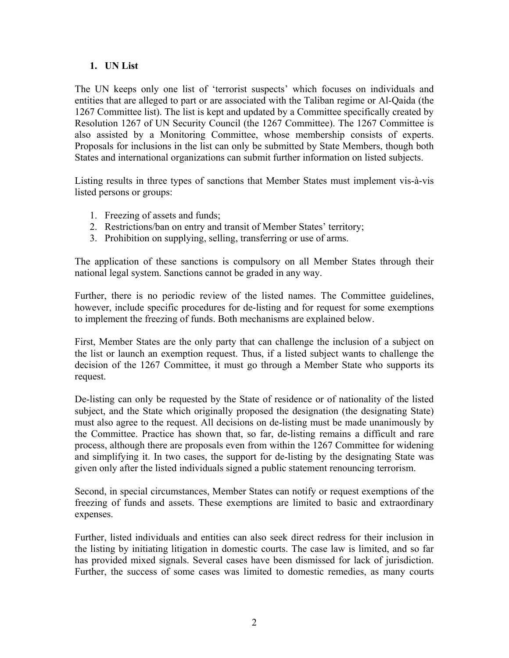#### **1. UN List**

The UN keeps only one list of 'terrorist suspects' which focuses on individuals and entities that are alleged to part or are associated with the Taliban regime or Al-Qaida (the 1267 Committee list). The list is kept and updated by a Committee specifically created by Resolution 1267 of UN Security Council (the 1267 Committee). The 1267 Committee is also assisted by a Monitoring Committee, whose membership consists of experts. Proposals for inclusions in the list can only be submitted by State Members, though both States and international organizations can submit further information on listed subjects.

Listing results in three types of sanctions that Member States must implement vis-à-vis listed persons or groups:

- 1. Freezing of assets and funds;
- 2. Restrictions/ban on entry and transit of Member States' territory;
- 3. Prohibition on supplying, selling, transferring or use of arms.

The application of these sanctions is compulsory on all Member States through their national legal system. Sanctions cannot be graded in any way.

Further, there is no periodic review of the listed names. The Committee guidelines, however, include specific procedures for de-listing and for request for some exemptions to implement the freezing of funds. Both mechanisms are explained below.

First, Member States are the only party that can challenge the inclusion of a subject on the list or launch an exemption request. Thus, if a listed subject wants to challenge the decision of the 1267 Committee, it must go through a Member State who supports its request.

De-listing can only be requested by the State of residence or of nationality of the listed subject, and the State which originally proposed the designation (the designating State) must also agree to the request. All decisions on de-listing must be made unanimously by the Committee. Practice has shown that, so far, de-listing remains a difficult and rare process, although there are proposals even from within the 1267 Committee for widening and simplifying it. In two cases, the support for de-listing by the designating State was given only after the listed individuals signed a public statement renouncing terrorism.

Second, in special circumstances, Member States can notify or request exemptions of the freezing of funds and assets. These exemptions are limited to basic and extraordinary expenses.

Further, listed individuals and entities can also seek direct redress for their inclusion in the listing by initiating litigation in domestic courts. The case law is limited, and so far has provided mixed signals. Several cases have been dismissed for lack of jurisdiction. Further, the success of some cases was limited to domestic remedies, as many courts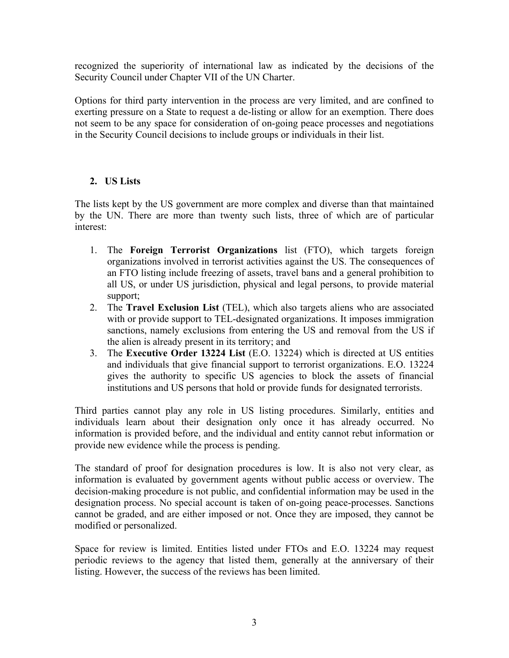recognized the superiority of international law as indicated by the decisions of the Security Council under Chapter VII of the UN Charter.

Options for third party intervention in the process are very limited, and are confined to exerting pressure on a State to request a de-listing or allow for an exemption. There does not seem to be any space for consideration of on-going peace processes and negotiations in the Security Council decisions to include groups or individuals in their list.

# **2. US Lists**

The lists kept by the US government are more complex and diverse than that maintained by the UN. There are more than twenty such lists, three of which are of particular interest:

- 1. The **Foreign Terrorist Organizations** list (FTO), which targets foreign organizations involved in terrorist activities against the US. The consequences of an FTO listing include freezing of assets, travel bans and a general prohibition to all US, or under US jurisdiction, physical and legal persons, to provide material support;
- 2. The **Travel Exclusion List** (TEL), which also targets aliens who are associated with or provide support to TEL-designated organizations. It imposes immigration sanctions, namely exclusions from entering the US and removal from the US if the alien is already present in its territory; and
- 3. The **Executive Order 13224 List** (E.O. 13224) which is directed at US entities and individuals that give financial support to terrorist organizations. E.O. 13224 gives the authority to specific US agencies to block the assets of financial institutions and US persons that hold or provide funds for designated terrorists.

Third parties cannot play any role in US listing procedures. Similarly, entities and individuals learn about their designation only once it has already occurred. No information is provided before, and the individual and entity cannot rebut information or provide new evidence while the process is pending.

The standard of proof for designation procedures is low. It is also not very clear, as information is evaluated by government agents without public access or overview. The decision-making procedure is not public, and confidential information may be used in the designation process. No special account is taken of on-going peace-processes. Sanctions cannot be graded, and are either imposed or not. Once they are imposed, they cannot be modified or personalized.

Space for review is limited. Entities listed under FTOs and E.O. 13224 may request periodic reviews to the agency that listed them, generally at the anniversary of their listing. However, the success of the reviews has been limited.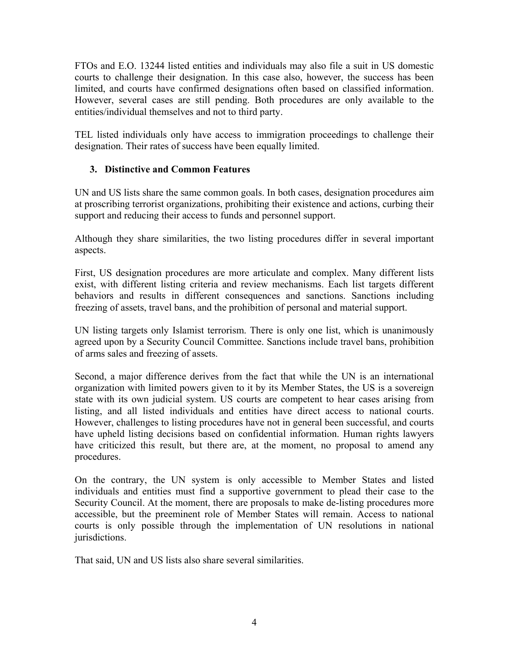FTOs and E.O. 13244 listed entities and individuals may also file a suit in US domestic courts to challenge their designation. In this case also, however, the success has been limited, and courts have confirmed designations often based on classified information. However, several cases are still pending. Both procedures are only available to the entities/individual themselves and not to third party.

TEL listed individuals only have access to immigration proceedings to challenge their designation. Their rates of success have been equally limited.

# **3. Distinctive and Common Features**

UN and US lists share the same common goals. In both cases, designation procedures aim at proscribing terrorist organizations, prohibiting their existence and actions, curbing their support and reducing their access to funds and personnel support.

Although they share similarities, the two listing procedures differ in several important aspects.

First, US designation procedures are more articulate and complex. Many different lists exist, with different listing criteria and review mechanisms. Each list targets different behaviors and results in different consequences and sanctions. Sanctions including freezing of assets, travel bans, and the prohibition of personal and material support.

UN listing targets only Islamist terrorism. There is only one list, which is unanimously agreed upon by a Security Council Committee. Sanctions include travel bans, prohibition of arms sales and freezing of assets.

Second, a major difference derives from the fact that while the UN is an international organization with limited powers given to it by its Member States, the US is a sovereign state with its own judicial system. US courts are competent to hear cases arising from listing, and all listed individuals and entities have direct access to national courts. However, challenges to listing procedures have not in general been successful, and courts have upheld listing decisions based on confidential information. Human rights lawyers have criticized this result, but there are, at the moment, no proposal to amend any procedures.

On the contrary, the UN system is only accessible to Member States and listed individuals and entities must find a supportive government to plead their case to the Security Council. At the moment, there are proposals to make de-listing procedures more accessible, but the preeminent role of Member States will remain. Access to national courts is only possible through the implementation of UN resolutions in national jurisdictions.

That said, UN and US lists also share several similarities.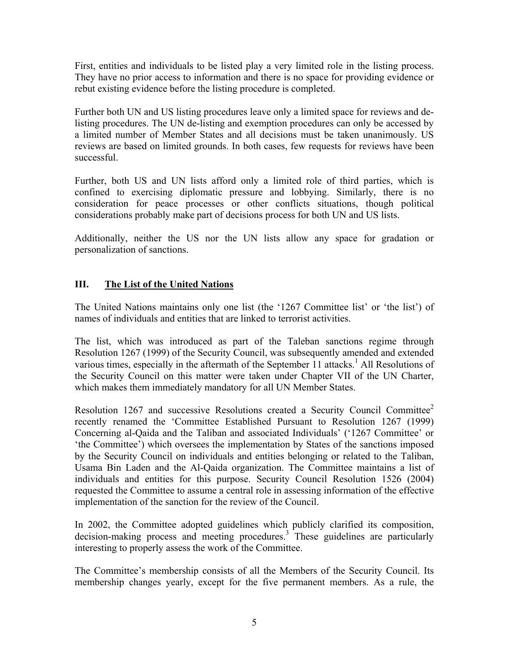First, entities and individuals to be listed play a very limited role in the listing process. They have no prior access to information and there is no space for providing evidence or rebut existing evidence before the listing procedure is completed.

Further both UN and US listing procedures leave only a limited space for reviews and delisting procedures. The UN de-listing and exemption procedures can only be accessed by a limited number of Member States and all decisions must be taken unanimously. US reviews are based on limited grounds. In both cases, few requests for reviews have been successful.

Further, both US and UN lists afford only a limited role of third parties, which is confined to exercising diplomatic pressure and lobbying. Similarly, there is no consideration for peace processes or other conflicts situations, though political considerations probably make part of decisions process for both UN and US lists.

Additionally, neither the US nor the UN lists allow any space for gradation or personalization of sanctions.

# **III. The List of the United Nations**

The United Nations maintains only one list (the '1267 Committee list' or 'the list') of names of individuals and entities that are linked to terrorist activities.

The list, which was introduced as part of the Taleban sanctions regime through Resolution 1267 (1999) of the Security Council, was subsequently amended and extended various times, especially in the aftermath of the September 11 attacks.<sup>1</sup> All Resolutions of the Security Council on this matter were taken under Chapter VII of the UN Charter, which makes them immediately mandatory for all UN Member States.

Resolution 1267 and successive Resolutions created a Security Council Committee<sup>2</sup> recently renamed the 'Committee Established Pursuant to Resolution 1267 (1999) Concerning al-Qaida and the Taliban and associated Individuals' ('1267 Committee' or 'the Committee') which oversees the implementation by States of the sanctions imposed by the Security Council on individuals and entities belonging or related to the Taliban, Usama Bin Laden and the Al-Qaida organization. The Committee maintains a list of individuals and entities for this purpose. Security Council Resolution 1526 (2004) requested the Committee to assume a central role in assessing information of the effective implementation of the sanction for the review of the Council.

In 2002, the Committee adopted guidelines which publicly clarified its composition, decision-making process and meeting procedures.<sup>3</sup> These guidelines are particularly interesting to properly assess the work of the Committee.

The Committee's membership consists of all the Members of the Security Council. Its membership changes yearly, except for the five permanent members. As a rule, the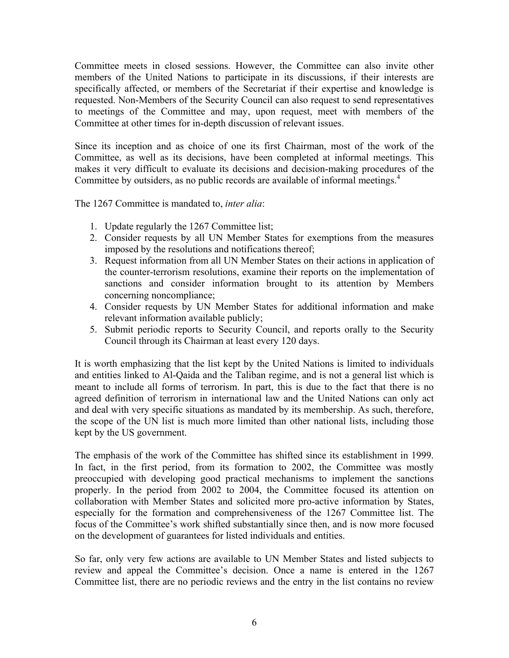Committee meets in closed sessions. However, the Committee can also invite other members of the United Nations to participate in its discussions, if their interests are specifically affected, or members of the Secretariat if their expertise and knowledge is requested. Non-Members of the Security Council can also request to send representatives to meetings of the Committee and may, upon request, meet with members of the Committee at other times for in-depth discussion of relevant issues.

Since its inception and as choice of one its first Chairman, most of the work of the Committee, as well as its decisions, have been completed at informal meetings. This makes it very difficult to evaluate its decisions and decision-making procedures of the Committee by outsiders, as no public records are available of informal meetings.<sup>4</sup>

The 1267 Committee is mandated to, *inter alia*:

- 1. Update regularly the 1267 Committee list;
- 2. Consider requests by all UN Member States for exemptions from the measures imposed by the resolutions and notifications thereof;
- 3. Request information from all UN Member States on their actions in application of the counter-terrorism resolutions, examine their reports on the implementation of sanctions and consider information brought to its attention by Members concerning noncompliance;
- 4. Consider requests by UN Member States for additional information and make relevant information available publicly;
- 5. Submit periodic reports to Security Council, and reports orally to the Security Council through its Chairman at least every 120 days.

It is worth emphasizing that the list kept by the United Nations is limited to individuals and entities linked to Al-Qaida and the Taliban regime, and is not a general list which is meant to include all forms of terrorism. In part, this is due to the fact that there is no agreed definition of terrorism in international law and the United Nations can only act and deal with very specific situations as mandated by its membership. As such, therefore, the scope of the UN list is much more limited than other national lists, including those kept by the US government.

The emphasis of the work of the Committee has shifted since its establishment in 1999. In fact, in the first period, from its formation to 2002, the Committee was mostly preoccupied with developing good practical mechanisms to implement the sanctions properly. In the period from 2002 to 2004, the Committee focused its attention on collaboration with Member States and solicited more pro-active information by States, especially for the formation and comprehensiveness of the 1267 Committee list. The focus of the Committee's work shifted substantially since then, and is now more focused on the development of guarantees for listed individuals and entities.

So far, only very few actions are available to UN Member States and listed subjects to review and appeal the Committee's decision. Once a name is entered in the 1267 Committee list, there are no periodic reviews and the entry in the list contains no review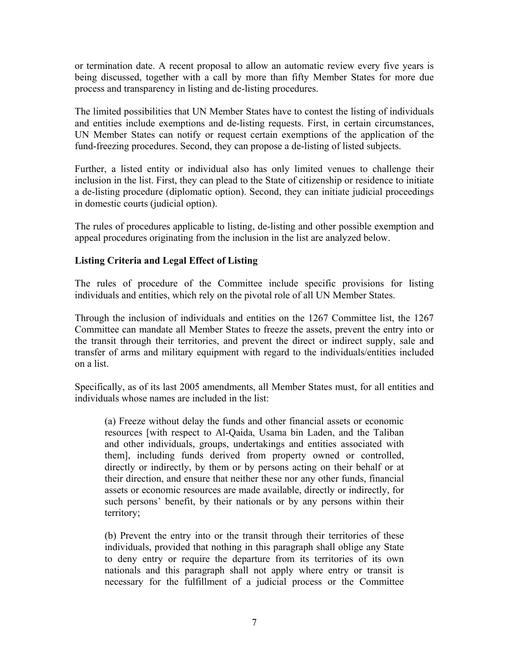or termination date. A recent proposal to allow an automatic review every five years is being discussed, together with a call by more than fifty Member States for more due process and transparency in listing and de-listing procedures.

The limited possibilities that UN Member States have to contest the listing of individuals and entities include exemptions and de-listing requests. First, in certain circumstances, UN Member States can notify or request certain exemptions of the application of the fund-freezing procedures. Second, they can propose a de-listing of listed subjects.

Further, a listed entity or individual also has only limited venues to challenge their inclusion in the list. First, they can plead to the State of citizenship or residence to initiate a de-listing procedure (diplomatic option). Second, they can initiate judicial proceedings in domestic courts (judicial option).

The rules of procedures applicable to listing, de-listing and other possible exemption and appeal procedures originating from the inclusion in the list are analyzed below.

# **Listing Criteria and Legal Effect of Listing**

The rules of procedure of the Committee include specific provisions for listing individuals and entities, which rely on the pivotal role of all UN Member States.

Through the inclusion of individuals and entities on the 1267 Committee list, the 1267 Committee can mandate all Member States to freeze the assets, prevent the entry into or the transit through their territories, and prevent the direct or indirect supply, sale and transfer of arms and military equipment with regard to the individuals/entities included on a list.

Specifically, as of its last 2005 amendments, all Member States must, for all entities and individuals whose names are included in the list:

(a) Freeze without delay the funds and other financial assets or economic resources [with respect to Al-Qaida, Usama bin Laden, and the Taliban and other individuals, groups, undertakings and entities associated with them], including funds derived from property owned or controlled, directly or indirectly, by them or by persons acting on their behalf or at their direction, and ensure that neither these nor any other funds, financial assets or economic resources are made available, directly or indirectly, for such persons' benefit, by their nationals or by any persons within their territory;

(b) Prevent the entry into or the transit through their territories of these individuals, provided that nothing in this paragraph shall oblige any State to deny entry or require the departure from its territories of its own nationals and this paragraph shall not apply where entry or transit is necessary for the fulfillment of a judicial process or the Committee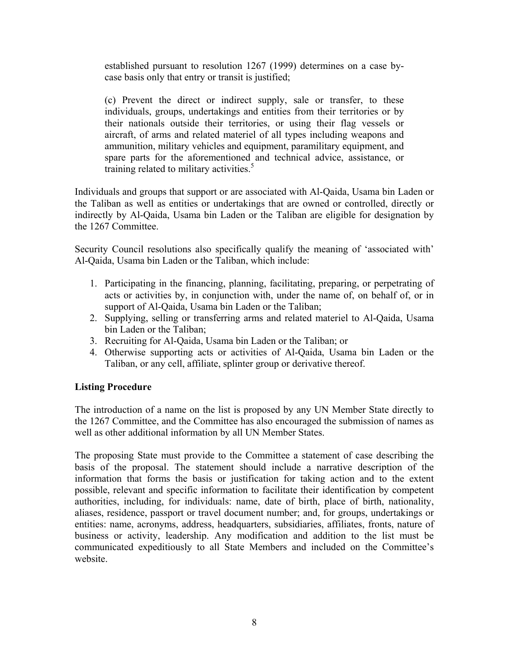established pursuant to resolution 1267 (1999) determines on a case bycase basis only that entry or transit is justified;

(c) Prevent the direct or indirect supply, sale or transfer, to these individuals, groups, undertakings and entities from their territories or by their nationals outside their territories, or using their flag vessels or aircraft, of arms and related materiel of all types including weapons and ammunition, military vehicles and equipment, paramilitary equipment, and spare parts for the aforementioned and technical advice, assistance, or training related to military activities.<sup>5</sup>

Individuals and groups that support or are associated with Al-Qaida, Usama bin Laden or the Taliban as well as entities or undertakings that are owned or controlled, directly or indirectly by Al-Qaida, Usama bin Laden or the Taliban are eligible for designation by the 1267 Committee.

Security Council resolutions also specifically qualify the meaning of 'associated with' Al-Qaida, Usama bin Laden or the Taliban, which include:

- 1. Participating in the financing, planning, facilitating, preparing, or perpetrating of acts or activities by, in conjunction with, under the name of, on behalf of, or in support of Al-Qaida, Usama bin Laden or the Taliban;
- 2. Supplying, selling or transferring arms and related materiel to Al-Qaida, Usama bin Laden or the Taliban;
- 3. Recruiting for Al-Qaida, Usama bin Laden or the Taliban; or
- 4. Otherwise supporting acts or activities of Al-Qaida, Usama bin Laden or the Taliban, or any cell, affiliate, splinter group or derivative thereof.

#### **Listing Procedure**

The introduction of a name on the list is proposed by any UN Member State directly to the 1267 Committee, and the Committee has also encouraged the submission of names as well as other additional information by all UN Member States.

The proposing State must provide to the Committee a statement of case describing the basis of the proposal. The statement should include a narrative description of the information that forms the basis or justification for taking action and to the extent possible, relevant and specific information to facilitate their identification by competent authorities, including, for individuals: name, date of birth, place of birth, nationality, aliases, residence, passport or travel document number; and, for groups, undertakings or entities: name, acronyms, address, headquarters, subsidiaries, affiliates, fronts, nature of business or activity, leadership. Any modification and addition to the list must be communicated expeditiously to all State Members and included on the Committee's website.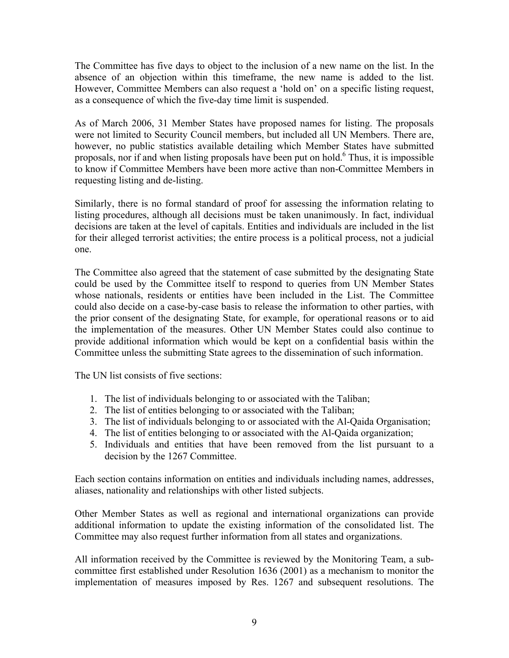The Committee has five days to object to the inclusion of a new name on the list. In the absence of an objection within this timeframe, the new name is added to the list. However, Committee Members can also request a 'hold on' on a specific listing request, as a consequence of which the five-day time limit is suspended.

As of March 2006, 31 Member States have proposed names for listing. The proposals were not limited to Security Council members, but included all UN Members. There are, however, no public statistics available detailing which Member States have submitted proposals, nor if and when listing proposals have been put on hold.<sup>6</sup> Thus, it is impossible to know if Committee Members have been more active than non-Committee Members in requesting listing and de-listing.

Similarly, there is no formal standard of proof for assessing the information relating to listing procedures, although all decisions must be taken unanimously. In fact, individual decisions are taken at the level of capitals. Entities and individuals are included in the list for their alleged terrorist activities; the entire process is a political process, not a judicial one.

The Committee also agreed that the statement of case submitted by the designating State could be used by the Committee itself to respond to queries from UN Member States whose nationals, residents or entities have been included in the List. The Committee could also decide on a case-by-case basis to release the information to other parties, with the prior consent of the designating State, for example, for operational reasons or to aid the implementation of the measures. Other UN Member States could also continue to provide additional information which would be kept on a confidential basis within the Committee unless the submitting State agrees to the dissemination of such information.

The UN list consists of five sections:

- 1. The list of individuals belonging to or associated with the Taliban;
- 2. The list of entities belonging to or associated with the Taliban;
- 3. The list of individuals belonging to or associated with the Al-Qaida Organisation;
- 4. The list of entities belonging to or associated with the Al-Qaida organization;
- 5. Individuals and entities that have been removed from the list pursuant to a decision by the 1267 Committee.

Each section contains information on entities and individuals including names, addresses, aliases, nationality and relationships with other listed subjects.

Other Member States as well as regional and international organizations can provide additional information to update the existing information of the consolidated list. The Committee may also request further information from all states and organizations.

All information received by the Committee is reviewed by the Monitoring Team, a subcommittee first established under Resolution 1636 (2001) as a mechanism to monitor the implementation of measures imposed by Res. 1267 and subsequent resolutions. The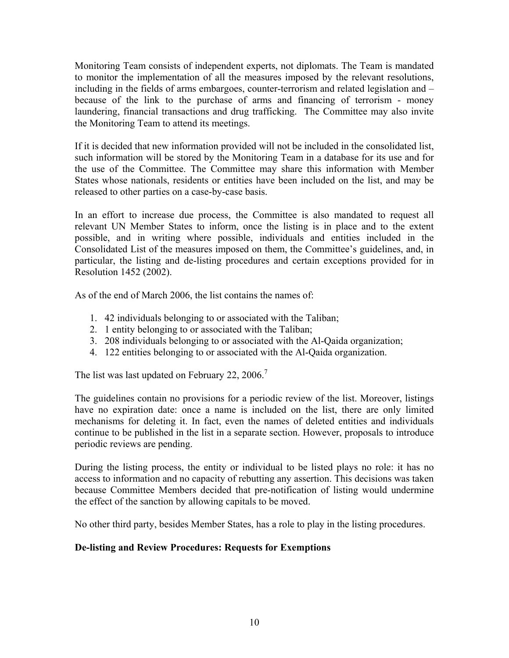Monitoring Team consists of independent experts, not diplomats. The Team is mandated to monitor the implementation of all the measures imposed by the relevant resolutions, including in the fields of arms embargoes, counter-terrorism and related legislation and – because of the link to the purchase of arms and financing of terrorism - money laundering, financial transactions and drug trafficking. The Committee may also invite the Monitoring Team to attend its meetings.

If it is decided that new information provided will not be included in the consolidated list, such information will be stored by the Monitoring Team in a database for its use and for the use of the Committee. The Committee may share this information with Member States whose nationals, residents or entities have been included on the list, and may be released to other parties on a case-by-case basis.

In an effort to increase due process, the Committee is also mandated to request all relevant UN Member States to inform, once the listing is in place and to the extent possible, and in writing where possible, individuals and entities included in the Consolidated List of the measures imposed on them, the Committee's guidelines, and, in particular, the listing and de-listing procedures and certain exceptions provided for in Resolution 1452 (2002).

As of the end of March 2006, the list contains the names of:

- 1. 42 individuals belonging to or associated with the Taliban;
- 2. 1 entity belonging to or associated with the Taliban;
- 3. 208 individuals belonging to or associated with the Al-Qaida organization;
- 4. 122 entities belonging to or associated with the Al-Qaida organization.

The list was last updated on February 22, 2006.<sup>7</sup>

The guidelines contain no provisions for a periodic review of the list. Moreover, listings have no expiration date: once a name is included on the list, there are only limited mechanisms for deleting it. In fact, even the names of deleted entities and individuals continue to be published in the list in a separate section. However, proposals to introduce periodic reviews are pending.

During the listing process, the entity or individual to be listed plays no role: it has no access to information and no capacity of rebutting any assertion. This decisions was taken because Committee Members decided that pre-notification of listing would undermine the effect of the sanction by allowing capitals to be moved.

No other third party, besides Member States, has a role to play in the listing procedures.

# **De-listing and Review Procedures: Requests for Exemptions**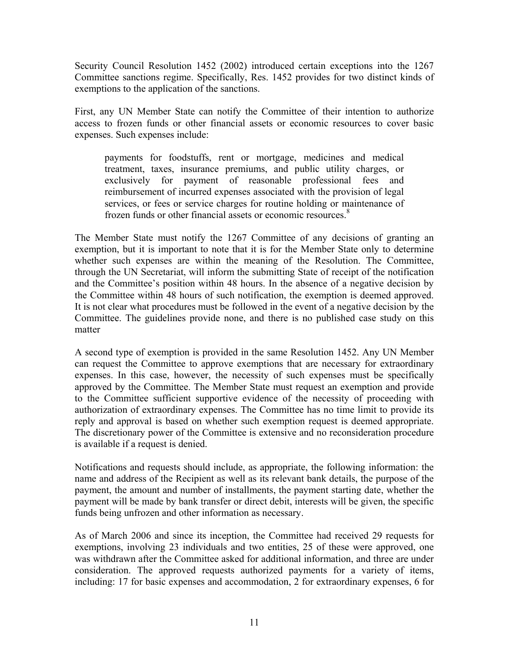Security Council Resolution 1452 (2002) introduced certain exceptions into the 1267 Committee sanctions regime. Specifically, Res. 1452 provides for two distinct kinds of exemptions to the application of the sanctions.

First, any UN Member State can notify the Committee of their intention to authorize access to frozen funds or other financial assets or economic resources to cover basic expenses. Such expenses include:

payments for foodstuffs, rent or mortgage, medicines and medical treatment, taxes, insurance premiums, and public utility charges, or exclusively for payment of reasonable professional fees and reimbursement of incurred expenses associated with the provision of legal services, or fees or service charges for routine holding or maintenance of frozen funds or other financial assets or economic resources.<sup>8</sup>

The Member State must notify the 1267 Committee of any decisions of granting an exemption, but it is important to note that it is for the Member State only to determine whether such expenses are within the meaning of the Resolution. The Committee, through the UN Secretariat, will inform the submitting State of receipt of the notification and the Committee's position within 48 hours. In the absence of a negative decision by the Committee within 48 hours of such notification, the exemption is deemed approved. It is not clear what procedures must be followed in the event of a negative decision by the Committee. The guidelines provide none, and there is no published case study on this matter

A second type of exemption is provided in the same Resolution 1452. Any UN Member can request the Committee to approve exemptions that are necessary for extraordinary expenses. In this case, however, the necessity of such expenses must be specifically approved by the Committee. The Member State must request an exemption and provide to the Committee sufficient supportive evidence of the necessity of proceeding with authorization of extraordinary expenses. The Committee has no time limit to provide its reply and approval is based on whether such exemption request is deemed appropriate. The discretionary power of the Committee is extensive and no reconsideration procedure is available if a request is denied.

Notifications and requests should include, as appropriate, the following information: the name and address of the Recipient as well as its relevant bank details, the purpose of the payment, the amount and number of installments, the payment starting date, whether the payment will be made by bank transfer or direct debit, interests will be given, the specific funds being unfrozen and other information as necessary.

As of March 2006 and since its inception, the Committee had received 29 requests for exemptions, involving 23 individuals and two entities, 25 of these were approved, one was withdrawn after the Committee asked for additional information, and three are under consideration. The approved requests authorized payments for a variety of items, including: 17 for basic expenses and accommodation, 2 for extraordinary expenses, 6 for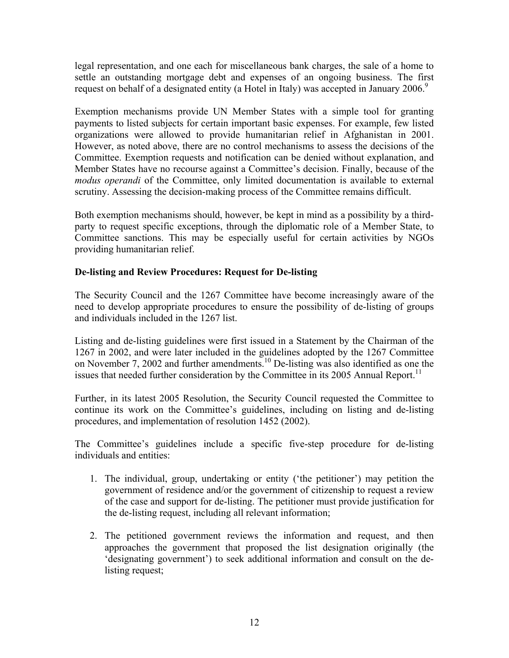legal representation, and one each for miscellaneous bank charges, the sale of a home to settle an outstanding mortgage debt and expenses of an ongoing business. The first request on behalf of a designated entity (a Hotel in Italy) was accepted in January 2006.<sup>9</sup>

Exemption mechanisms provide UN Member States with a simple tool for granting payments to listed subjects for certain important basic expenses. For example, few listed organizations were allowed to provide humanitarian relief in Afghanistan in 2001. However, as noted above, there are no control mechanisms to assess the decisions of the Committee. Exemption requests and notification can be denied without explanation, and Member States have no recourse against a Committee's decision. Finally, because of the *modus operandi* of the Committee, only limited documentation is available to external scrutiny. Assessing the decision-making process of the Committee remains difficult.

Both exemption mechanisms should, however, be kept in mind as a possibility by a thirdparty to request specific exceptions, through the diplomatic role of a Member State, to Committee sanctions. This may be especially useful for certain activities by NGOs providing humanitarian relief.

#### **De-listing and Review Procedures: Request for De-listing**

The Security Council and the 1267 Committee have become increasingly aware of the need to develop appropriate procedures to ensure the possibility of de-listing of groups and individuals included in the 1267 list.

Listing and de-listing guidelines were first issued in a Statement by the Chairman of the 1267 in 2002, and were later included in the guidelines adopted by the 1267 Committee on November 7, 2002 and further amendments.<sup>10</sup> De-listing was also identified as one the issues that needed further consideration by the Committee in its 2005 Annual Report.<sup>11</sup>

Further, in its latest 2005 Resolution, the Security Council requested the Committee to continue its work on the Committee's guidelines, including on listing and de-listing procedures, and implementation of resolution 1452 (2002).

The Committee's guidelines include a specific five-step procedure for de-listing individuals and entities:

- 1. The individual, group, undertaking or entity ('the petitioner') may petition the government of residence and/or the government of citizenship to request a review of the case and support for de-listing. The petitioner must provide justification for the de-listing request, including all relevant information;
- 2. The petitioned government reviews the information and request, and then approaches the government that proposed the list designation originally (the 'designating government') to seek additional information and consult on the delisting request;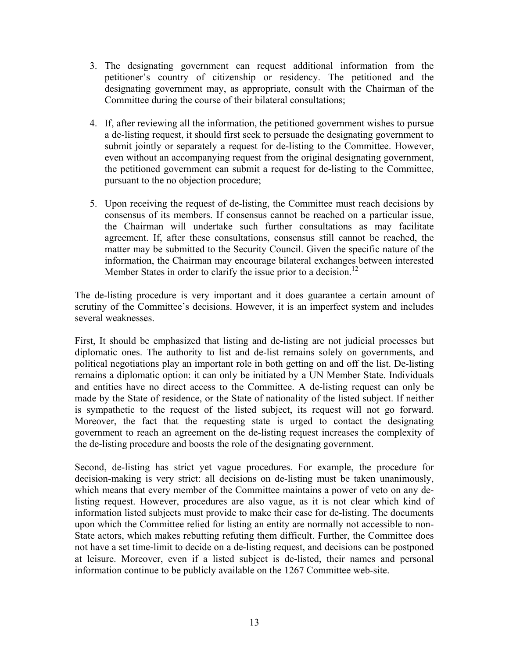- 3. The designating government can request additional information from the petitioner's country of citizenship or residency. The petitioned and the designating government may, as appropriate, consult with the Chairman of the Committee during the course of their bilateral consultations;
- 4. If, after reviewing all the information, the petitioned government wishes to pursue a de-listing request, it should first seek to persuade the designating government to submit jointly or separately a request for de-listing to the Committee. However, even without an accompanying request from the original designating government, the petitioned government can submit a request for de-listing to the Committee, pursuant to the no objection procedure;
- 5. Upon receiving the request of de-listing, the Committee must reach decisions by consensus of its members. If consensus cannot be reached on a particular issue, the Chairman will undertake such further consultations as may facilitate agreement. If, after these consultations, consensus still cannot be reached, the matter may be submitted to the Security Council. Given the specific nature of the information, the Chairman may encourage bilateral exchanges between interested Member States in order to clarify the issue prior to a decision.<sup>12</sup>

The de-listing procedure is very important and it does guarantee a certain amount of scrutiny of the Committee's decisions. However, it is an imperfect system and includes several weaknesses.

First, It should be emphasized that listing and de-listing are not judicial processes but diplomatic ones. The authority to list and de-list remains solely on governments, and political negotiations play an important role in both getting on and off the list. De-listing remains a diplomatic option: it can only be initiated by a UN Member State. Individuals and entities have no direct access to the Committee. A de-listing request can only be made by the State of residence, or the State of nationality of the listed subject. If neither is sympathetic to the request of the listed subject, its request will not go forward. Moreover, the fact that the requesting state is urged to contact the designating government to reach an agreement on the de-listing request increases the complexity of the de-listing procedure and boosts the role of the designating government.

Second, de-listing has strict yet vague procedures. For example, the procedure for decision-making is very strict: all decisions on de-listing must be taken unanimously, which means that every member of the Committee maintains a power of veto on any delisting request. However, procedures are also vague, as it is not clear which kind of information listed subjects must provide to make their case for de-listing. The documents upon which the Committee relied for listing an entity are normally not accessible to non-State actors, which makes rebutting refuting them difficult. Further, the Committee does not have a set time-limit to decide on a de-listing request, and decisions can be postponed at leisure. Moreover, even if a listed subject is de-listed, their names and personal information continue to be publicly available on the 1267 Committee web-site.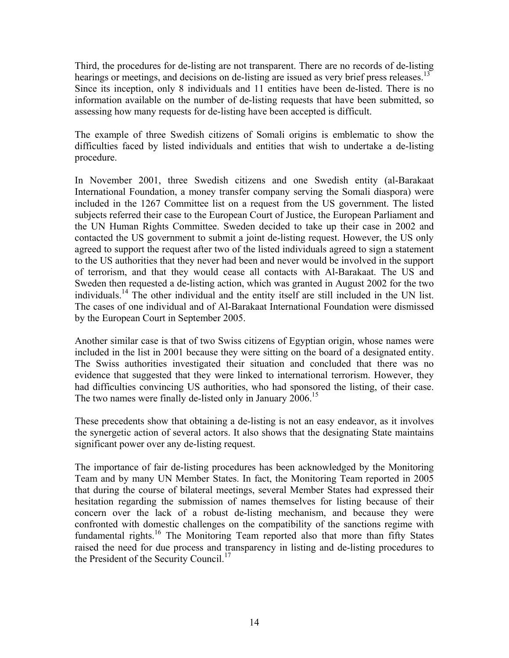Third, the procedures for de-listing are not transparent. There are no records of de-listing hearings or meetings, and decisions on de-listing are issued as very brief press releases.<sup>13</sup> Since its inception, only 8 individuals and 11 entities have been de-listed. There is no information available on the number of de-listing requests that have been submitted, so assessing how many requests for de-listing have been accepted is difficult.

The example of three Swedish citizens of Somali origins is emblematic to show the difficulties faced by listed individuals and entities that wish to undertake a de-listing procedure.

In November 2001, three Swedish citizens and one Swedish entity (al-Barakaat International Foundation, a money transfer company serving the Somali diaspora) were included in the 1267 Committee list on a request from the US government. The listed subjects referred their case to the European Court of Justice, the European Parliament and the UN Human Rights Committee. Sweden decided to take up their case in 2002 and contacted the US government to submit a joint de-listing request. However, the US only agreed to support the request after two of the listed individuals agreed to sign a statement to the US authorities that they never had been and never would be involved in the support of terrorism, and that they would cease all contacts with Al-Barakaat. The US and Sweden then requested a de-listing action, which was granted in August 2002 for the two individuals.14 The other individual and the entity itself are still included in the UN list. The cases of one individual and of Al-Barakaat International Foundation were dismissed by the European Court in September 2005.

Another similar case is that of two Swiss citizens of Egyptian origin, whose names were included in the list in 2001 because they were sitting on the board of a designated entity. The Swiss authorities investigated their situation and concluded that there was no evidence that suggested that they were linked to international terrorism. However, they had difficulties convincing US authorities, who had sponsored the listing, of their case. The two names were finally de-listed only in January  $2006$ .<sup>15</sup>

These precedents show that obtaining a de-listing is not an easy endeavor, as it involves the synergetic action of several actors. It also shows that the designating State maintains significant power over any de-listing request.

The importance of fair de-listing procedures has been acknowledged by the Monitoring Team and by many UN Member States. In fact, the Monitoring Team reported in 2005 that during the course of bilateral meetings, several Member States had expressed their hesitation regarding the submission of names themselves for listing because of their concern over the lack of a robust de-listing mechanism, and because they were confronted with domestic challenges on the compatibility of the sanctions regime with fundamental rights.<sup>16</sup> The Monitoring Team reported also that more than fifty States raised the need for due process and transparency in listing and de-listing procedures to the President of the Security Council.<sup>17</sup>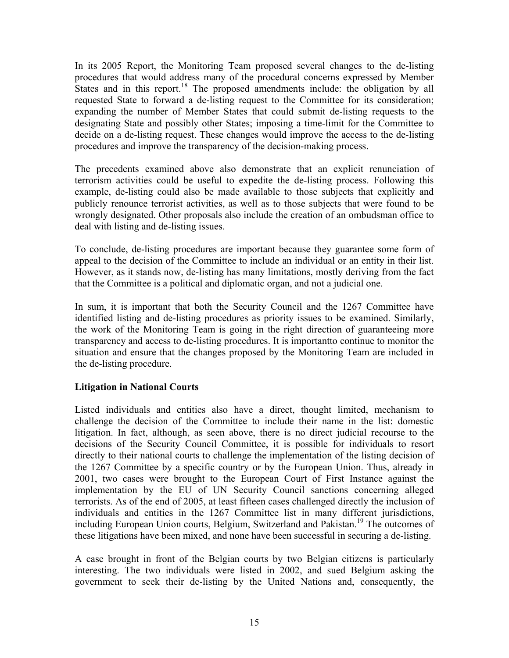In its 2005 Report, the Monitoring Team proposed several changes to the de-listing procedures that would address many of the procedural concerns expressed by Member States and in this report.<sup>18</sup> The proposed amendments include: the obligation by all requested State to forward a de-listing request to the Committee for its consideration; expanding the number of Member States that could submit de-listing requests to the designating State and possibly other States; imposing a time-limit for the Committee to decide on a de-listing request. These changes would improve the access to the de-listing procedures and improve the transparency of the decision-making process.

The precedents examined above also demonstrate that an explicit renunciation of terrorism activities could be useful to expedite the de-listing process. Following this example, de-listing could also be made available to those subjects that explicitly and publicly renounce terrorist activities, as well as to those subjects that were found to be wrongly designated. Other proposals also include the creation of an ombudsman office to deal with listing and de-listing issues.

To conclude, de-listing procedures are important because they guarantee some form of appeal to the decision of the Committee to include an individual or an entity in their list. However, as it stands now, de-listing has many limitations, mostly deriving from the fact that the Committee is a political and diplomatic organ, and not a judicial one.

In sum, it is important that both the Security Council and the 1267 Committee have identified listing and de-listing procedures as priority issues to be examined. Similarly, the work of the Monitoring Team is going in the right direction of guaranteeing more transparency and access to de-listing procedures. It is importantto continue to monitor the situation and ensure that the changes proposed by the Monitoring Team are included in the de-listing procedure.

#### **Litigation in National Courts**

Listed individuals and entities also have a direct, thought limited, mechanism to challenge the decision of the Committee to include their name in the list: domestic litigation. In fact, although, as seen above, there is no direct judicial recourse to the decisions of the Security Council Committee, it is possible for individuals to resort directly to their national courts to challenge the implementation of the listing decision of the 1267 Committee by a specific country or by the European Union. Thus, already in 2001, two cases were brought to the European Court of First Instance against the implementation by the EU of UN Security Council sanctions concerning alleged terrorists. As of the end of 2005, at least fifteen cases challenged directly the inclusion of individuals and entities in the 1267 Committee list in many different jurisdictions, including European Union courts, Belgium, Switzerland and Pakistan.<sup>19</sup> The outcomes of these litigations have been mixed, and none have been successful in securing a de-listing.

A case brought in front of the Belgian courts by two Belgian citizens is particularly interesting. The two individuals were listed in 2002, and sued Belgium asking the government to seek their de-listing by the United Nations and, consequently, the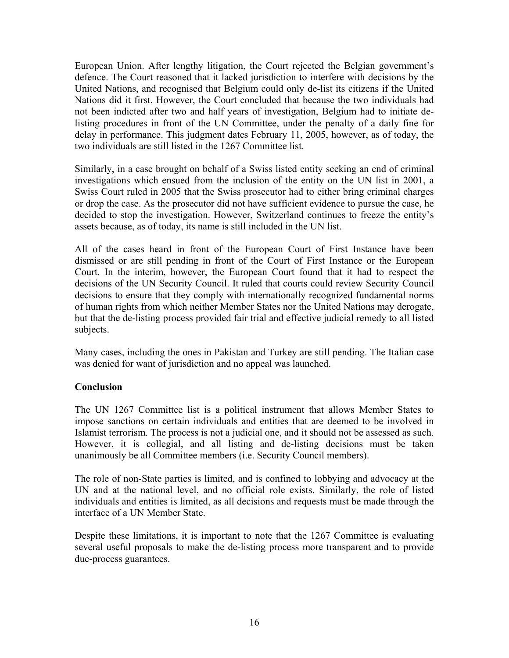European Union. After lengthy litigation, the Court rejected the Belgian government's defence. The Court reasoned that it lacked jurisdiction to interfere with decisions by the United Nations, and recognised that Belgium could only de-list its citizens if the United Nations did it first. However, the Court concluded that because the two individuals had not been indicted after two and half years of investigation, Belgium had to initiate delisting procedures in front of the UN Committee, under the penalty of a daily fine for delay in performance. This judgment dates February 11, 2005, however, as of today, the two individuals are still listed in the 1267 Committee list.

Similarly, in a case brought on behalf of a Swiss listed entity seeking an end of criminal investigations which ensued from the inclusion of the entity on the UN list in 2001, a Swiss Court ruled in 2005 that the Swiss prosecutor had to either bring criminal charges or drop the case. As the prosecutor did not have sufficient evidence to pursue the case, he decided to stop the investigation. However, Switzerland continues to freeze the entity's assets because, as of today, its name is still included in the UN list.

All of the cases heard in front of the European Court of First Instance have been dismissed or are still pending in front of the Court of First Instance or the European Court. In the interim, however, the European Court found that it had to respect the decisions of the UN Security Council. It ruled that courts could review Security Council decisions to ensure that they comply with internationally recognized fundamental norms of human rights from which neither Member States nor the United Nations may derogate, but that the de-listing process provided fair trial and effective judicial remedy to all listed subjects.

Many cases, including the ones in Pakistan and Turkey are still pending. The Italian case was denied for want of jurisdiction and no appeal was launched.

#### **Conclusion**

The UN 1267 Committee list is a political instrument that allows Member States to impose sanctions on certain individuals and entities that are deemed to be involved in Islamist terrorism. The process is not a judicial one, and it should not be assessed as such. However, it is collegial, and all listing and de-listing decisions must be taken unanimously be all Committee members (i.e. Security Council members).

The role of non-State parties is limited, and is confined to lobbying and advocacy at the UN and at the national level, and no official role exists. Similarly, the role of listed individuals and entities is limited, as all decisions and requests must be made through the interface of a UN Member State.

Despite these limitations, it is important to note that the 1267 Committee is evaluating several useful proposals to make the de-listing process more transparent and to provide due-process guarantees.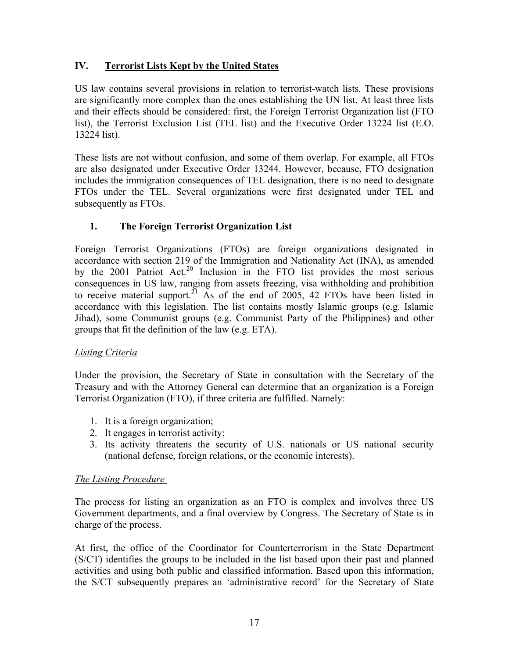# **IV. Terrorist Lists Kept by the United States**

US law contains several provisions in relation to terrorist-watch lists. These provisions are significantly more complex than the ones establishing the UN list. At least three lists and their effects should be considered: first, the Foreign Terrorist Organization list (FTO list), the Terrorist Exclusion List (TEL list) and the Executive Order 13224 list (E.O. 13224 list).

These lists are not without confusion, and some of them overlap. For example, all FTOs are also designated under Executive Order 13244. However, because, FTO designation includes the immigration consequences of TEL designation, there is no need to designate FTOs under the TEL. Several organizations were first designated under TEL and subsequently as FTOs.

# **1. The Foreign Terrorist Organization List**

Foreign Terrorist Organizations (FTOs) are foreign organizations designated in accordance with section 219 of the Immigration and Nationality Act (INA), as amended by the 2001 Patriot Act.<sup>20</sup> Inclusion in the FTO list provides the most serious consequences in US law, ranging from assets freezing, visa withholding and prohibition to receive material support.<sup>21</sup> As of the end of 2005, 42 FTOs have been listed in accordance with this legislation. The list contains mostly Islamic groups (e.g. Islamic Jihad), some Communist groups (e.g. Communist Party of the Philippines) and other groups that fit the definition of the law (e.g. ETA).

#### *Listing Criteria*

Under the provision, the Secretary of State in consultation with the Secretary of the Treasury and with the Attorney General can determine that an organization is a Foreign Terrorist Organization (FTO), if three criteria are fulfilled. Namely:

- 1. It is a foreign organization;
- 2. It engages in terrorist activity;
- 3. Its activity threatens the security of U.S. nationals or US national security (national defense, foreign relations, or the economic interests).

#### *The Listing Procedure*

The process for listing an organization as an FTO is complex and involves three US Government departments, and a final overview by Congress. The Secretary of State is in charge of the process.

At first, the office of the Coordinator for Counterterrorism in the State Department (S/CT) identifies the groups to be included in the list based upon their past and planned activities and using both public and classified information. Based upon this information, the S/CT subsequently prepares an 'administrative record' for the Secretary of State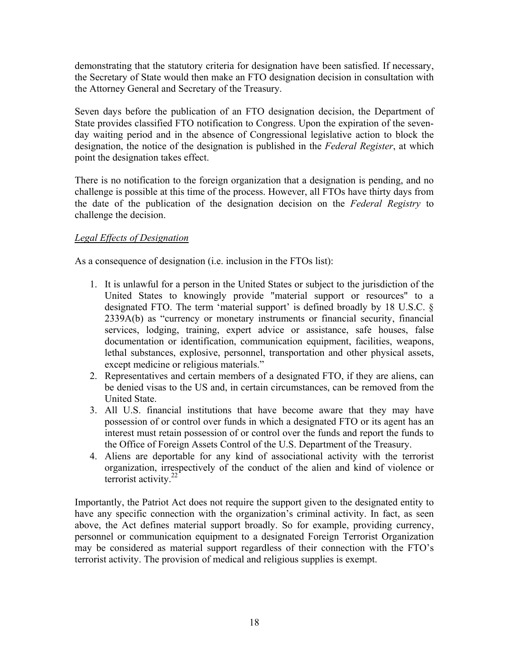demonstrating that the statutory criteria for designation have been satisfied. If necessary, the Secretary of State would then make an FTO designation decision in consultation with the Attorney General and Secretary of the Treasury.

Seven days before the publication of an FTO designation decision, the Department of State provides classified FTO notification to Congress. Upon the expiration of the sevenday waiting period and in the absence of Congressional legislative action to block the designation, the notice of the designation is published in the *Federal Register*, at which point the designation takes effect.

There is no notification to the foreign organization that a designation is pending, and no challenge is possible at this time of the process. However, all FTOs have thirty days from the date of the publication of the designation decision on the *Federal Registry* to challenge the decision.

#### *Legal Effects of Designation*

As a consequence of designation (i.e. inclusion in the FTOs list):

- 1. It is unlawful for a person in the United States or subject to the jurisdiction of the United States to knowingly provide "material support or resources" to a designated FTO. The term 'material support' is defined broadly by 18 U.S.C. § 2339A(b) as "currency or monetary instruments or financial security, financial services, lodging, training, expert advice or assistance, safe houses, false documentation or identification, communication equipment, facilities, weapons, lethal substances, explosive, personnel, transportation and other physical assets, except medicine or religious materials."
- 2. Representatives and certain members of a designated FTO, if they are aliens, can be denied visas to the US and, in certain circumstances, can be removed from the United State.
- 3. All U.S. financial institutions that have become aware that they may have possession of or control over funds in which a designated FTO or its agent has an interest must retain possession of or control over the funds and report the funds to the Office of Foreign Assets Control of the U.S. Department of the Treasury.
- 4. Aliens are deportable for any kind of associational activity with the terrorist organization, irrespectively of the conduct of the alien and kind of violence or terrorist activity. $22$

Importantly, the Patriot Act does not require the support given to the designated entity to have any specific connection with the organization's criminal activity. In fact, as seen above, the Act defines material support broadly. So for example, providing currency, personnel or communication equipment to a designated Foreign Terrorist Organization may be considered as material support regardless of their connection with the FTO's terrorist activity. The provision of medical and religious supplies is exempt.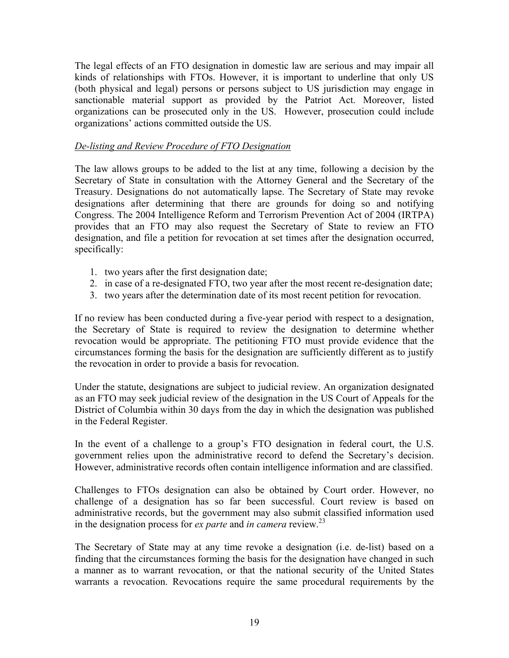The legal effects of an FTO designation in domestic law are serious and may impair all kinds of relationships with FTOs. However, it is important to underline that only US (both physical and legal) persons or persons subject to US jurisdiction may engage in sanctionable material support as provided by the Patriot Act. Moreover, listed organizations can be prosecuted only in the US. However, prosecution could include organizations' actions committed outside the US.

#### *De-listing and Review Procedure of FTO Designation*

The law allows groups to be added to the list at any time, following a decision by the Secretary of State in consultation with the Attorney General and the Secretary of the Treasury. Designations do not automatically lapse. The Secretary of State may revoke designations after determining that there are grounds for doing so and notifying Congress. The 2004 Intelligence Reform and Terrorism Prevention Act of 2004 (IRTPA) provides that an FTO may also request the Secretary of State to review an FTO designation, and file a petition for revocation at set times after the designation occurred, specifically:

- 1. two years after the first designation date;
- 2. in case of a re-designated FTO, two year after the most recent re-designation date;
- 3. two years after the determination date of its most recent petition for revocation.

If no review has been conducted during a five-year period with respect to a designation, the Secretary of State is required to review the designation to determine whether revocation would be appropriate. The petitioning FTO must provide evidence that the circumstances forming the basis for the designation are sufficiently different as to justify the revocation in order to provide a basis for revocation.

Under the statute, designations are subject to judicial review. An organization designated as an FTO may seek judicial review of the designation in the US Court of Appeals for the District of Columbia within 30 days from the day in which the designation was published in the Federal Register.

In the event of a challenge to a group's FTO designation in federal court, the U.S. government relies upon the administrative record to defend the Secretary's decision. However, administrative records often contain intelligence information and are classified.

Challenges to FTOs designation can also be obtained by Court order. However, no challenge of a designation has so far been successful. Court review is based on administrative records, but the government may also submit classified information used in the designation process for *ex parte* and *in camera* review.23

The Secretary of State may at any time revoke a designation (i.e. de-list) based on a finding that the circumstances forming the basis for the designation have changed in such a manner as to warrant revocation, or that the national security of the United States warrants a revocation. Revocations require the same procedural requirements by the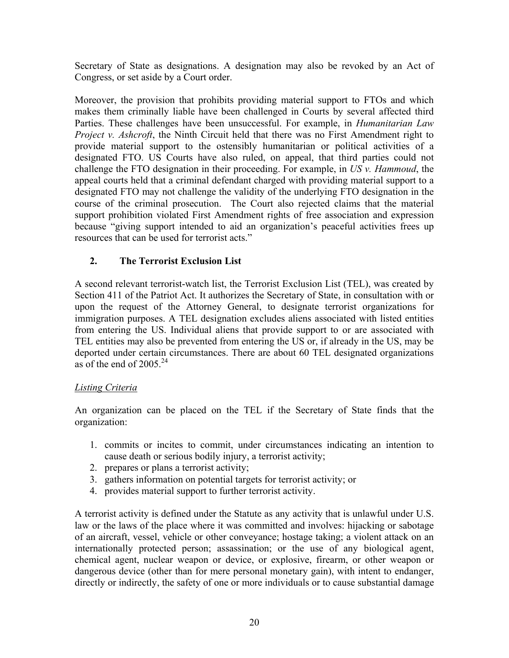Secretary of State as designations. A designation may also be revoked by an Act of Congress, or set aside by a Court order.

Moreover, the provision that prohibits providing material support to FTOs and which makes them criminally liable have been challenged in Courts by several affected third Parties. These challenges have been unsuccessful. For example, in *Humanitarian Law Project v. Ashcroft*, the Ninth Circuit held that there was no First Amendment right to provide material support to the ostensibly humanitarian or political activities of a designated FTO. US Courts have also ruled, on appeal, that third parties could not challenge the FTO designation in their proceeding. For example, in *US v. Hammoud*, the appeal courts held that a criminal defendant charged with providing material support to a designated FTO may not challenge the validity of the underlying FTO designation in the course of the criminal prosecution. The Court also rejected claims that the material support prohibition violated First Amendment rights of free association and expression because "giving support intended to aid an organization's peaceful activities frees up resources that can be used for terrorist acts."

# **2. The Terrorist Exclusion List**

A second relevant terrorist-watch list, the Terrorist Exclusion List (TEL), was created by Section 411 of the Patriot Act. It authorizes the Secretary of State, in consultation with or upon the request of the Attorney General, to designate terrorist organizations for immigration purposes. A TEL designation excludes aliens associated with listed entities from entering the US. Individual aliens that provide support to or are associated with TEL entities may also be prevented from entering the US or, if already in the US, may be deported under certain circumstances. There are about 60 TEL designated organizations as of the end of  $2005^{24}$ 

#### *Listing Criteria*

An organization can be placed on the TEL if the Secretary of State finds that the organization:

- 1. commits or incites to commit, under circumstances indicating an intention to cause death or serious bodily injury, a terrorist activity;
- 2. prepares or plans a terrorist activity;
- 3. gathers information on potential targets for terrorist activity; or
- 4. provides material support to further terrorist activity.

A terrorist activity is defined under the Statute as any activity that is unlawful under U.S. law or the laws of the place where it was committed and involves: hijacking or sabotage of an aircraft, vessel, vehicle or other conveyance; hostage taking; a violent attack on an internationally protected person; assassination; or the use of any biological agent, chemical agent, nuclear weapon or device, or explosive, firearm, or other weapon or dangerous device (other than for mere personal monetary gain), with intent to endanger, directly or indirectly, the safety of one or more individuals or to cause substantial damage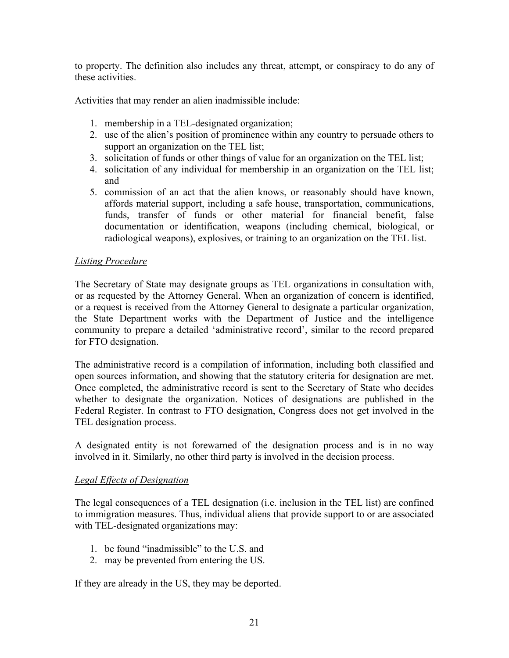to property. The definition also includes any threat, attempt, or conspiracy to do any of these activities.

Activities that may render an alien inadmissible include:

- 1. membership in a TEL-designated organization;
- 2. use of the alien's position of prominence within any country to persuade others to support an organization on the TEL list;
- 3. solicitation of funds or other things of value for an organization on the TEL list;
- 4. solicitation of any individual for membership in an organization on the TEL list; and
- 5. commission of an act that the alien knows, or reasonably should have known, affords material support, including a safe house, transportation, communications, funds, transfer of funds or other material for financial benefit, false documentation or identification, weapons (including chemical, biological, or radiological weapons), explosives, or training to an organization on the TEL list.

#### *Listing Procedure*

The Secretary of State may designate groups as TEL organizations in consultation with, or as requested by the Attorney General. When an organization of concern is identified, or a request is received from the Attorney General to designate a particular organization, the State Department works with the Department of Justice and the intelligence community to prepare a detailed 'administrative record', similar to the record prepared for FTO designation.

The administrative record is a compilation of information, including both classified and open sources information, and showing that the statutory criteria for designation are met. Once completed, the administrative record is sent to the Secretary of State who decides whether to designate the organization. Notices of designations are published in the Federal Register. In contrast to FTO designation, Congress does not get involved in the TEL designation process.

A designated entity is not forewarned of the designation process and is in no way involved in it. Similarly, no other third party is involved in the decision process.

#### *Legal Effects of Designation*

The legal consequences of a TEL designation (i.e. inclusion in the TEL list) are confined to immigration measures. Thus, individual aliens that provide support to or are associated with TEL-designated organizations may:

- 1. be found "inadmissible" to the U.S. and
- 2. may be prevented from entering the US.

If they are already in the US, they may be deported.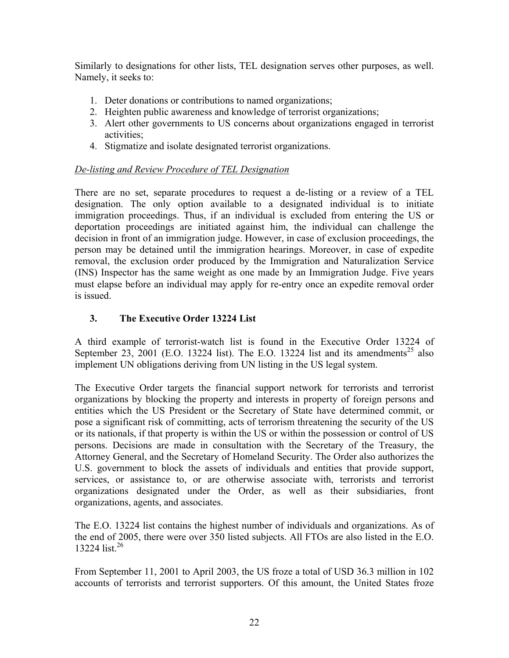Similarly to designations for other lists, TEL designation serves other purposes, as well. Namely, it seeks to:

- 1. Deter donations or contributions to named organizations;
- 2. Heighten public awareness and knowledge of terrorist organizations;
- 3. Alert other governments to US concerns about organizations engaged in terrorist activities;
- 4. Stigmatize and isolate designated terrorist organizations.

# *De-listing and Review Procedure of TEL Designation*

There are no set, separate procedures to request a de-listing or a review of a TEL designation. The only option available to a designated individual is to initiate immigration proceedings. Thus, if an individual is excluded from entering the US or deportation proceedings are initiated against him, the individual can challenge the decision in front of an immigration judge. However, in case of exclusion proceedings, the person may be detained until the immigration hearings. Moreover, in case of expedite removal, the exclusion order produced by the Immigration and Naturalization Service (INS) Inspector has the same weight as one made by an Immigration Judge. Five years must elapse before an individual may apply for re-entry once an expedite removal order is issued.

# **3. The Executive Order 13224 List**

A third example of terrorist-watch list is found in the Executive Order 13224 of September 23, 2001 (E.O. 13224 list). The E.O. 13224 list and its amendments<sup>25</sup> also implement UN obligations deriving from UN listing in the US legal system.

The Executive Order targets the financial support network for terrorists and terrorist organizations by blocking the property and interests in property of foreign persons and entities which the US President or the Secretary of State have determined commit, or pose a significant risk of committing, acts of terrorism threatening the security of the US or its nationals, if that property is within the US or within the possession or control of US persons. Decisions are made in consultation with the Secretary of the Treasury, the Attorney General, and the Secretary of Homeland Security. The Order also authorizes the U.S. government to block the assets of individuals and entities that provide support, services, or assistance to, or are otherwise associate with, terrorists and terrorist organizations designated under the Order, as well as their subsidiaries, front organizations, agents, and associates.

The E.O. 13224 list contains the highest number of individuals and organizations. As of the end of 2005, there were over 350 listed subjects. All FTOs are also listed in the E.O. 13224 list.<sup>26</sup>

From September 11, 2001 to April 2003, the US froze a total of USD 36.3 million in 102 accounts of terrorists and terrorist supporters. Of this amount, the United States froze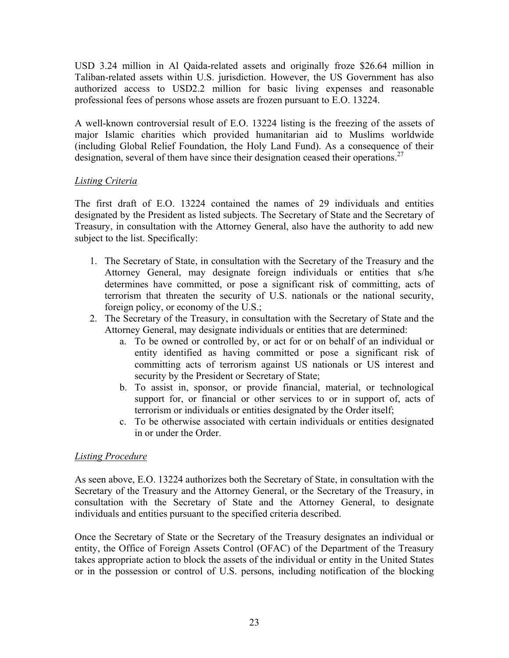USD 3.24 million in Al Qaida-related assets and originally froze \$26.64 million in Taliban-related assets within U.S. jurisdiction. However, the US Government has also authorized access to USD2.2 million for basic living expenses and reasonable professional fees of persons whose assets are frozen pursuant to E.O. 13224.

A well-known controversial result of E.O. 13224 listing is the freezing of the assets of major Islamic charities which provided humanitarian aid to Muslims worldwide (including Global Relief Foundation, the Holy Land Fund). As a consequence of their designation, several of them have since their designation ceased their operations.<sup>27</sup>

# *Listing Criteria*

The first draft of E.O. 13224 contained the names of 29 individuals and entities designated by the President as listed subjects. The Secretary of State and the Secretary of Treasury, in consultation with the Attorney General, also have the authority to add new subject to the list. Specifically:

- 1. The Secretary of State, in consultation with the Secretary of the Treasury and the Attorney General, may designate foreign individuals or entities that s/he determines have committed, or pose a significant risk of committing, acts of terrorism that threaten the security of U.S. nationals or the national security, foreign policy, or economy of the U.S.;
- 2. The Secretary of the Treasury, in consultation with the Secretary of State and the Attorney General, may designate individuals or entities that are determined:
	- a. To be owned or controlled by, or act for or on behalf of an individual or entity identified as having committed or pose a significant risk of committing acts of terrorism against US nationals or US interest and security by the President or Secretary of State;
	- b. To assist in, sponsor, or provide financial, material, or technological support for, or financial or other services to or in support of, acts of terrorism or individuals or entities designated by the Order itself;
	- c. To be otherwise associated with certain individuals or entities designated in or under the Order.

#### *Listing Procedure*

As seen above, E.O. 13224 authorizes both the Secretary of State, in consultation with the Secretary of the Treasury and the Attorney General, or the Secretary of the Treasury, in consultation with the Secretary of State and the Attorney General, to designate individuals and entities pursuant to the specified criteria described.

Once the Secretary of State or the Secretary of the Treasury designates an individual or entity, the Office of Foreign Assets Control (OFAC) of the Department of the Treasury takes appropriate action to block the assets of the individual or entity in the United States or in the possession or control of U.S. persons, including notification of the blocking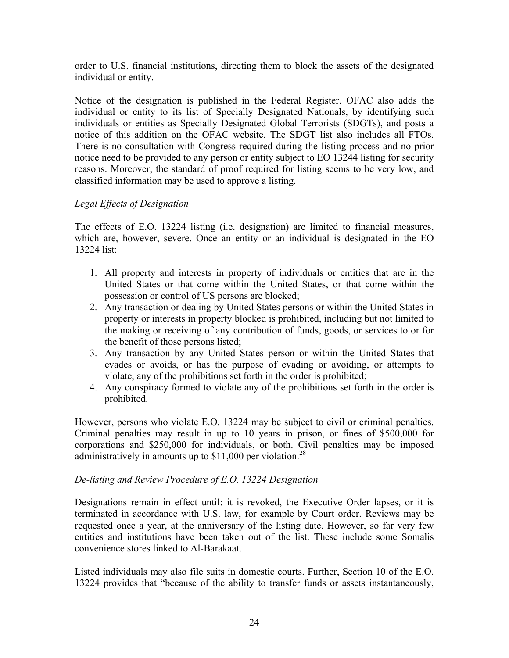order to U.S. financial institutions, directing them to block the assets of the designated individual or entity.

Notice of the designation is published in the Federal Register. OFAC also adds the individual or entity to its list of Specially Designated Nationals, by identifying such individuals or entities as Specially Designated Global Terrorists (SDGTs), and posts a notice of this addition on the OFAC website. The SDGT list also includes all FTOs. There is no consultation with Congress required during the listing process and no prior notice need to be provided to any person or entity subject to EO 13244 listing for security reasons. Moreover, the standard of proof required for listing seems to be very low, and classified information may be used to approve a listing.

# *Legal Effects of Designation*

The effects of E.O. 13224 listing (i.e. designation) are limited to financial measures, which are, however, severe. Once an entity or an individual is designated in the EO 13224 list:

- 1. All property and interests in property of individuals or entities that are in the United States or that come within the United States, or that come within the possession or control of US persons are blocked;
- 2. Any transaction or dealing by United States persons or within the United States in property or interests in property blocked is prohibited, including but not limited to the making or receiving of any contribution of funds, goods, or services to or for the benefit of those persons listed;
- 3. Any transaction by any United States person or within the United States that evades or avoids, or has the purpose of evading or avoiding, or attempts to violate, any of the prohibitions set forth in the order is prohibited;
- 4. Any conspiracy formed to violate any of the prohibitions set forth in the order is prohibited.

However, persons who violate E.O. 13224 may be subject to civil or criminal penalties. Criminal penalties may result in up to 10 years in prison, or fines of \$500,000 for corporations and \$250,000 for individuals, or both. Civil penalties may be imposed administratively in amounts up to  $$11,000$  per violation.<sup>28</sup>

#### *De-listing and Review Procedure of E.O. 13224 Designation*

Designations remain in effect until: it is revoked, the Executive Order lapses, or it is terminated in accordance with U.S. law, for example by Court order. Reviews may be requested once a year, at the anniversary of the listing date. However, so far very few entities and institutions have been taken out of the list. These include some Somalis convenience stores linked to Al-Barakaat.

Listed individuals may also file suits in domestic courts. Further, Section 10 of the E.O. 13224 provides that "because of the ability to transfer funds or assets instantaneously,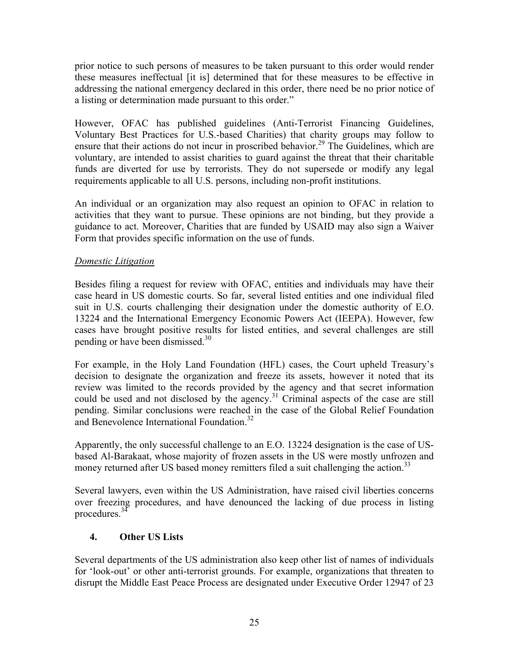prior notice to such persons of measures to be taken pursuant to this order would render these measures ineffectual [it is] determined that for these measures to be effective in addressing the national emergency declared in this order, there need be no prior notice of a listing or determination made pursuant to this order."

However, OFAC has published guidelines (Anti-Terrorist Financing Guidelines, Voluntary Best Practices for U.S.-based Charities) that charity groups may follow to ensure that their actions do not incur in proscribed behavior.<sup>29</sup> The Guidelines, which are voluntary, are intended to assist charities to guard against the threat that their charitable funds are diverted for use by terrorists. They do not supersede or modify any legal requirements applicable to all U.S. persons, including non-profit institutions.

An individual or an organization may also request an opinion to OFAC in relation to activities that they want to pursue. These opinions are not binding, but they provide a guidance to act. Moreover, Charities that are funded by USAID may also sign a Waiver Form that provides specific information on the use of funds.

# *Domestic Litigation*

Besides filing a request for review with OFAC, entities and individuals may have their case heard in US domestic courts. So far, several listed entities and one individual filed suit in U.S. courts challenging their designation under the domestic authority of E.O. 13224 and the International Emergency Economic Powers Act (IEEPA). However, few cases have brought positive results for listed entities, and several challenges are still pending or have been dismissed. $30<sup>30</sup>$ 

For example, in the Holy Land Foundation (HFL) cases, the Court upheld Treasury's decision to designate the organization and freeze its assets, however it noted that its review was limited to the records provided by the agency and that secret information could be used and not disclosed by the agency.<sup>31</sup> Criminal aspects of the case are still pending. Similar conclusions were reached in the case of the Global Relief Foundation and Benevolence International Foundation.<sup>32</sup>

Apparently, the only successful challenge to an E.O. 13224 designation is the case of USbased Al-Barakaat, whose majority of frozen assets in the US were mostly unfrozen and money returned after US based money remitters filed a suit challenging the action.<sup>33</sup>

Several lawyers, even within the US Administration, have raised civil liberties concerns over freezing procedures, and have denounced the lacking of due process in listing procedures.<sup>34</sup>

# **4. Other US Lists**

Several departments of the US administration also keep other list of names of individuals for 'look-out' or other anti-terrorist grounds. For example, organizations that threaten to disrupt the Middle East Peace Process are designated under Executive Order 12947 of 23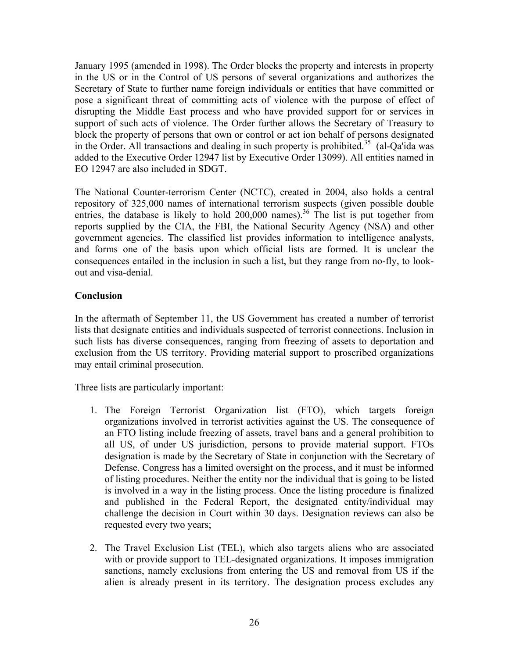January 1995 (amended in 1998). The Order blocks the property and interests in property in the US or in the Control of US persons of several organizations and authorizes the Secretary of State to further name foreign individuals or entities that have committed or pose a significant threat of committing acts of violence with the purpose of effect of disrupting the Middle East process and who have provided support for or services in support of such acts of violence. The Order further allows the Secretary of Treasury to block the property of persons that own or control or act ion behalf of persons designated in the Order. All transactions and dealing in such property is prohibited.<sup>35</sup> (al-Qa'ida was added to the Executive Order 12947 list by Executive Order 13099). All entities named in EO 12947 are also included in SDGT.

The National Counter-terrorism Center (NCTC), created in 2004, also holds a central repository of 325,000 names of international terrorism suspects (given possible double entries, the database is likely to hold  $200,000$  names).<sup>36</sup> The list is put together from reports supplied by the CIA, the FBI, the National Security Agency (NSA) and other government agencies. The classified list provides information to intelligence analysts, and forms one of the basis upon which official lists are formed. It is unclear the consequences entailed in the inclusion in such a list, but they range from no-fly, to lookout and visa-denial.

# **Conclusion**

In the aftermath of September 11, the US Government has created a number of terrorist lists that designate entities and individuals suspected of terrorist connections. Inclusion in such lists has diverse consequences, ranging from freezing of assets to deportation and exclusion from the US territory. Providing material support to proscribed organizations may entail criminal prosecution.

Three lists are particularly important:

- 1. The Foreign Terrorist Organization list (FTO), which targets foreign organizations involved in terrorist activities against the US. The consequence of an FTO listing include freezing of assets, travel bans and a general prohibition to all US, of under US jurisdiction, persons to provide material support. FTOs designation is made by the Secretary of State in conjunction with the Secretary of Defense. Congress has a limited oversight on the process, and it must be informed of listing procedures. Neither the entity nor the individual that is going to be listed is involved in a way in the listing process. Once the listing procedure is finalized and published in the Federal Report, the designated entity/individual may challenge the decision in Court within 30 days. Designation reviews can also be requested every two years;
- 2. The Travel Exclusion List (TEL), which also targets aliens who are associated with or provide support to TEL-designated organizations. It imposes immigration sanctions, namely exclusions from entering the US and removal from US if the alien is already present in its territory. The designation process excludes any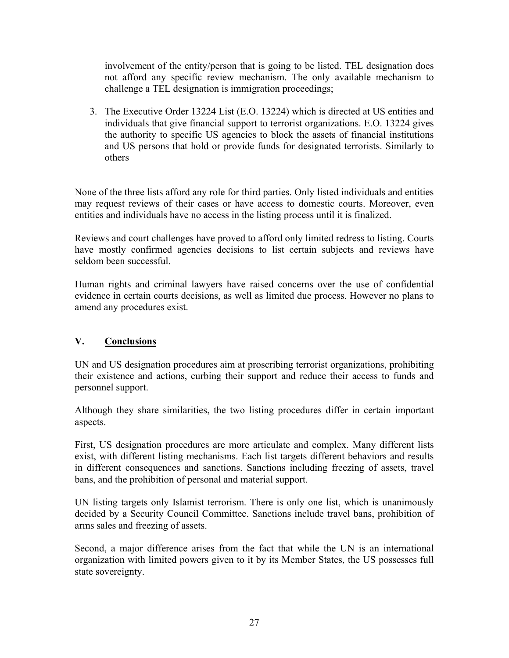involvement of the entity/person that is going to be listed. TEL designation does not afford any specific review mechanism. The only available mechanism to challenge a TEL designation is immigration proceedings;

3. The Executive Order 13224 List (E.O. 13224) which is directed at US entities and individuals that give financial support to terrorist organizations. E.O. 13224 gives the authority to specific US agencies to block the assets of financial institutions and US persons that hold or provide funds for designated terrorists. Similarly to others

None of the three lists afford any role for third parties. Only listed individuals and entities may request reviews of their cases or have access to domestic courts. Moreover, even entities and individuals have no access in the listing process until it is finalized.

Reviews and court challenges have proved to afford only limited redress to listing. Courts have mostly confirmed agencies decisions to list certain subjects and reviews have seldom been successful.

Human rights and criminal lawyers have raised concerns over the use of confidential evidence in certain courts decisions, as well as limited due process. However no plans to amend any procedures exist.

# **V. Conclusions**

UN and US designation procedures aim at proscribing terrorist organizations, prohibiting their existence and actions, curbing their support and reduce their access to funds and personnel support.

Although they share similarities, the two listing procedures differ in certain important aspects.

First, US designation procedures are more articulate and complex. Many different lists exist, with different listing mechanisms. Each list targets different behaviors and results in different consequences and sanctions. Sanctions including freezing of assets, travel bans, and the prohibition of personal and material support.

UN listing targets only Islamist terrorism. There is only one list, which is unanimously decided by a Security Council Committee. Sanctions include travel bans, prohibition of arms sales and freezing of assets.

Second, a major difference arises from the fact that while the UN is an international organization with limited powers given to it by its Member States, the US possesses full state sovereignty.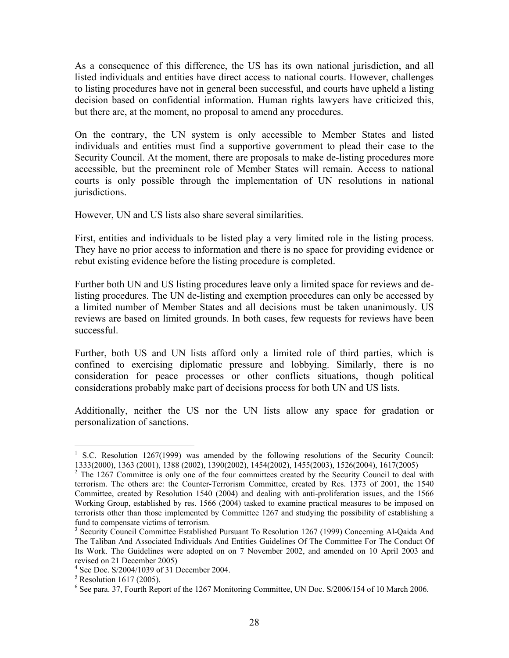As a consequence of this difference, the US has its own national jurisdiction, and all listed individuals and entities have direct access to national courts. However, challenges to listing procedures have not in general been successful, and courts have upheld a listing decision based on confidential information. Human rights lawyers have criticized this, but there are, at the moment, no proposal to amend any procedures.

On the contrary, the UN system is only accessible to Member States and listed individuals and entities must find a supportive government to plead their case to the Security Council. At the moment, there are proposals to make de-listing procedures more accessible, but the preeminent role of Member States will remain. Access to national courts is only possible through the implementation of UN resolutions in national jurisdictions.

However, UN and US lists also share several similarities.

First, entities and individuals to be listed play a very limited role in the listing process. They have no prior access to information and there is no space for providing evidence or rebut existing evidence before the listing procedure is completed.

Further both UN and US listing procedures leave only a limited space for reviews and delisting procedures. The UN de-listing and exemption procedures can only be accessed by a limited number of Member States and all decisions must be taken unanimously. US reviews are based on limited grounds. In both cases, few requests for reviews have been successful.

Further, both US and UN lists afford only a limited role of third parties, which is confined to exercising diplomatic pressure and lobbying. Similarly, there is no consideration for peace processes or other conflicts situations, though political considerations probably make part of decisions process for both UN and US lists.

Additionally, neither the US nor the UN lists allow any space for gradation or personalization of sanctions.

 $\overline{a}$ 

<sup>1</sup> S.C. Resolution 1267(1999) was amended by the following resolutions of the Security Council: 1333(2000), 1363 (2001), 1388 (2002), 1390(2002), 1454(2002), 1455(2003), 1526(2004), 1617(2005) 2

 $2$  The 1267 Committee is only one of the four committees created by the Security Council to deal with terrorism. The others are: the Counter-Terrorism Committee, created by Res. 1373 of 2001, the 1540 Committee, created by Resolution 1540 (2004) and dealing with anti-proliferation issues, and the 1566 Working Group, established by res. 1566 (2004) tasked to examine practical measures to be imposed on terrorists other than those implemented by Committee 1267 and studying the possibility of establishing a fund to compensate victims of terrorism.

<sup>&</sup>lt;sup>3</sup> Security Council Committee Established Pursuant To Resolution 1267 (1999) Concerning Al-Qaida And The Taliban And Associated Individuals And Entities Guidelines Of The Committee For The Conduct Of Its Work. The Guidelines were adopted on on 7 November 2002, and amended on 10 April 2003 and revised on 21 December 2005)

 $^{4}$  See Doc. S/2004/1039 of 31 December 2004.

 $5$  Resolution 1617 (2005).

<sup>&</sup>lt;sup>6</sup> See para. 37, Fourth Report of the 1267 Monitoring Committee, UN Doc. S/2006/154 of 10 March 2006.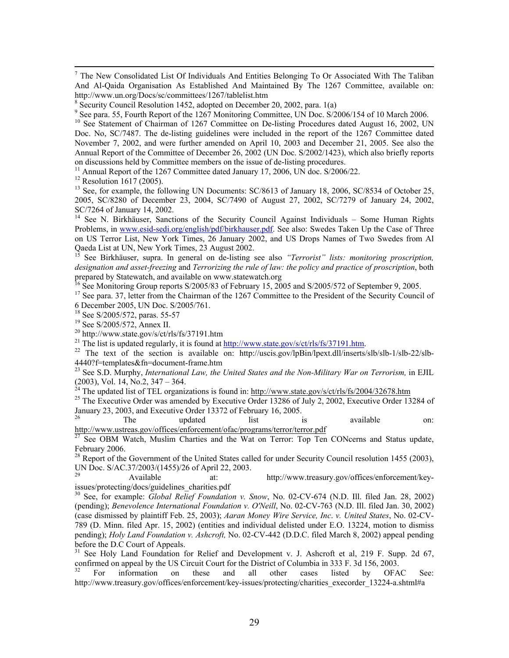-<br>7  $<sup>7</sup>$  The New Consolidated List Of Individuals And Entities Belonging To Or Associated With The Taliban</sup> And Al-Qaida Organisation As Established And Maintained By The 1267 Committee, available on: http://www.un.org/Docs/sc/committees/1267/tablelist.htm <sup>8</sup> Security Council Resolution 1452, adopted on December 20, 2002, para. 1(a)

<sup>8</sup> Security Council Resolution 1452, adopted on December 20, 2002, para. 1(a)<br><sup>9</sup> See para. 55, Fourth Report of the 1267 Monitoring Committee, UN Doc. S/2006/154 of 10 March 2006.

<sup>10</sup> See Statement of Chairman of 1267 Committee on De-listing Procedures dated August 16, 2002, UN Doc. No, SC/7487. The de-listing guidelines were included in the report of the 1267 Committee dated November 7, 2002, and were further amended on April 10, 2003 and December 21, 2005. See also the Annual Report of the Committee of December 26, 2002 (UN Doc. S/2002/1423), which also briefly reports on discussions held by Committee members on the issue of de-listing procedures.

<sup>11</sup> Annual Report of the 1267 Committee dated January 17, 2006, UN doc. S/2006/22.

 $12$  Resolution 1617 (2005).

<sup>13</sup> See, for example, the following UN Documents: SC/8613 of January 18, 2006, SC/8534 of October 25, 2005, SC/8280 of December 23, 2004, SC/7490 of August 27, 2002, SC/7279 of January 24, 2002, SC/7264 of January 14, 2002.

<sup>14</sup> See N. Birkhäuser, Sanctions of the Security Council Against Individuals – Some Human Rights Problems, in www.esid-sedi.org/english/pdf/birkhauser.pdf. See also: Swedes Taken Up the Case of Three on US Terror List, New York Times, 26 January 2002, and US Drops Names of Two Swedes from Al Qaeda List at UN, New York Times, 23 August 2002.

15 See Birkhäuser, supra. In general on de-listing see also *"Terrorist" lists: monitoring proscription, designation and asset-freezing* and *Terrorizing the rule of law: the policy and practice of proscription*, both prepared by Statewatch, and available on www.statewatch.org

<sup>16</sup> See Monitoring Group reports S/2005/83 of February 15, 2005 and S/2005/572 of September 9, 2005.

<sup>17</sup> See para. 37, letter from the Chairman of the 1267 Committee to the President of the Security Council of 6 December 2005, UN Doc. S/2005/761.

18 See S/2005/572, paras. 55-57

19 See S/2005/572, Annex II.

<sup>20</sup> http://www.state.gov/s/ct/rls/fs/37191.htm<br><sup>21</sup> The list is updated regularly, it is found at <u>http://www.state.gov/s/ct/rls/fs/37191.htm</u>.

<sup>22</sup> The text of the section is available on: http://uscis.gov/lpBin/lpext.dll/inserts/slb/slb-1/slb-22/slb-4440?f=templates&fn=document-frame.htm

<sup>23</sup> See S.D. Murphy, *International Law, the United States and the Non-Military War on Terrorism,* in EJIL (2003), Vol. 14, No.2, 347 – 364.

<sup>24</sup> The updated list of TEL organizations is found in: http://www.state.gov/s/ct/rls/fs/2004/32678.htm <sup>25</sup> The Executive Order was amended by Executive Order 13286 of July 2, 2002, Executive Order 13284 of January 23, 2003, and Executive Order 13372 of February 16, 2005.

 $26$  The updated list is available on: http://www.ustreas.gov/offices/enforcement/ofac/programs/terror/terror.pdf

 $27$  See OBM Watch, Muslim Charties and the Wat on Terror: Top Ten CONcerns and Status update, February 2006.

<sup>28</sup> Report of the Government of the United States called for under Security Council resolution 1455 (2003), UN Doc. S/AC.37/2003/(1455)/26 of April 22, 2003.

Available at: http://www.treasury.gov/offices/enforcement/keyissues/protecting/docs/guidelines\_charities.pdf

30 See, for example: *Global Relief Foundation v. Snow*, No. 02-CV-674 (N.D. Ill. filed Jan. 28, 2002) (pending); *Benevolence International Foundation v. O'Neill*, No. 02-CV-763 (N.D. Ill. filed Jan. 30, 2002) (case dismissed by plaintiff Feb. 25, 2003); *Aaran Money Wire Service, Inc*. *v. United States*, No. 02-CV-789 (D. Minn. filed Apr. 15, 2002) (entities and individual delisted under E.O. 13224, motion to dismiss pending); *Holy Land Foundation v. Ashcroft,* No. 02-CV-442 (D.D.C. filed March 8, 2002) appeal pending before the D.C Court of Appeals.

<sup>31</sup> See Holy Land Foundation for Relief and Development v. J. Ashcroft et al, 219 F. Supp. 2d 67, confirmed on appeal by the US Circuit Court for the District of Columbia in 333 F. 3d 156, 2003.

<sup>32</sup> For information on these and all other cases listed by OFAC See: http://www.treasury.gov/offices/enforcement/key-issues/protecting/charities\_execorder\_13224-a.shtml#a